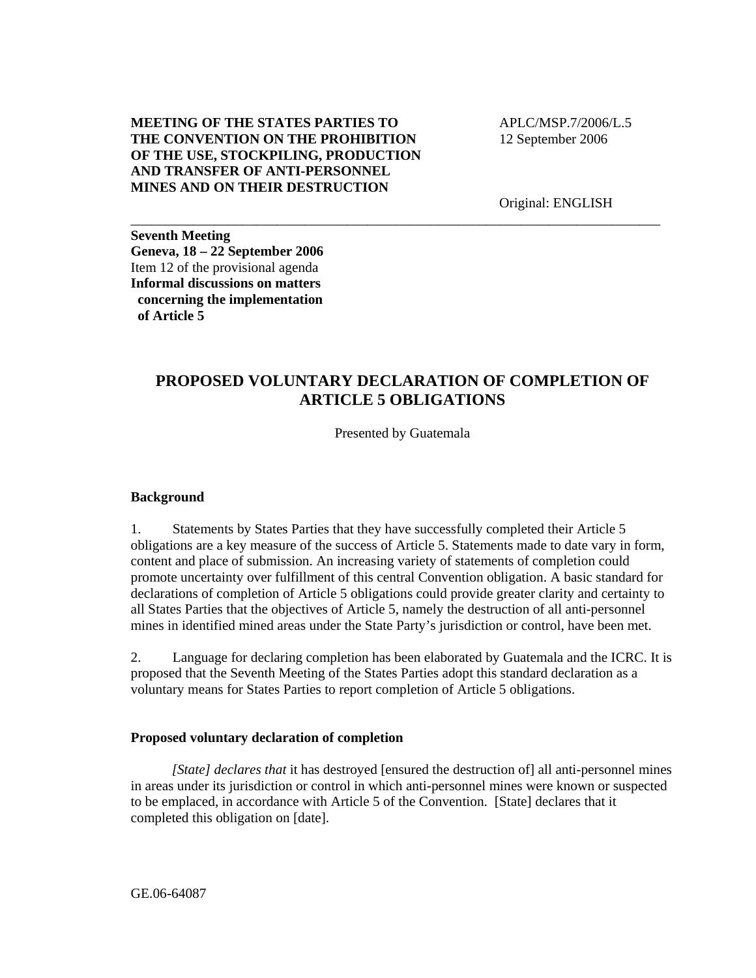## **MEETING OF THE STATES PARTIES TO THE CONVENTION ON THE PROHIBITION OF THE USE, STOCKPILING, PRODUCTION AND TRANSFER OF ANTI-PERSONNEL MINES AND ON THEIR DESTRUCTION**

 APLC/MSP.7/2006/L.5 12 September 2006

Original: ENGLISH

**Seventh Meeting Geneva, 18 – 22 September 2006**  Item 12 of the provisional agenda **Informal discussions on matters concerning the implementation of Article 5** 

## **PROPOSED VOLUNTARY DECLARATION OF COMPLETION OF ARTICLE 5 OBLIGATIONS**

\_\_\_\_\_\_\_\_\_\_\_\_\_\_\_\_\_\_\_\_\_\_\_\_\_\_\_\_\_\_\_\_\_\_\_\_\_\_\_\_\_\_\_\_\_\_\_\_\_\_\_\_\_\_\_\_\_\_\_\_\_\_\_\_\_\_\_\_\_\_\_\_\_\_\_\_

Presented by Guatemala

## **Background**

1. Statements by States Parties that they have successfully completed their Article 5 obligations are a key measure of the success of Article 5. Statements made to date vary in form, content and place of submission. An increasing variety of statements of completion could promote uncertainty over fulfillment of this central Convention obligation. A basic standard for declarations of completion of Article 5 obligations could provide greater clarity and certainty to all States Parties that the objectives of Article 5, namely the destruction of all anti-personnel mines in identified mined areas under the State Party's jurisdiction or control, have been met.

2. Language for declaring completion has been elaborated by Guatemala and the ICRC. It is proposed that the Seventh Meeting of the States Parties adopt this standard declaration as a voluntary means for States Parties to report completion of Article 5 obligations.

## **Proposed voluntary declaration of completion**

*[State] declares that* it has destroyed [ensured the destruction of] all anti-personnel mines in areas under its jurisdiction or control in which anti-personnel mines were known or suspected to be emplaced, in accordance with Article 5 of the Convention. [State] declares that it completed this obligation on [date].